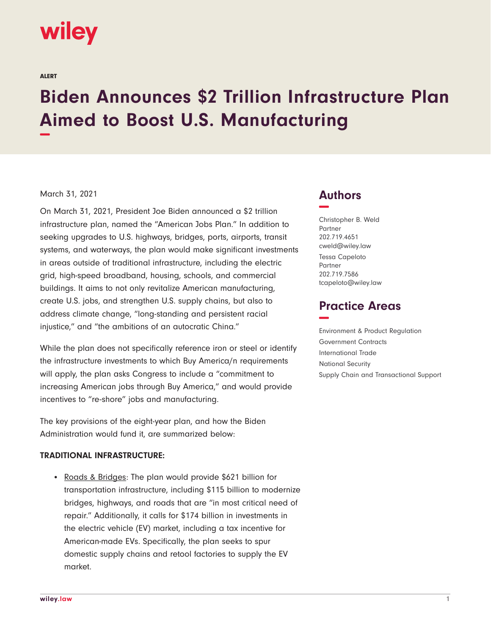# wiley

ALERT

# **Biden Announces \$2 Trillion Infrastructure Plan Aimed to Boost U.S. Manufacturing −**

# March 31, 2021

On March 31, 2021, President Joe Biden announced a \$2 trillion infrastructure plan, named the "American Jobs Plan." In addition to seeking upgrades to U.S. highways, bridges, ports, airports, transit systems, and waterways, the plan would make significant investments in areas outside of traditional infrastructure, including the electric grid, high-speed broadband, housing, schools, and commercial buildings. It aims to not only revitalize American manufacturing, create U.S. jobs, and strengthen U.S. supply chains, but also to address climate change, "long-standing and persistent racial injustice," and "the ambitions of an autocratic China."

While the plan does not specifically reference iron or steel or identify the infrastructure investments to which Buy America/n requirements will apply, the plan asks Congress to include a "commitment to increasing American jobs through Buy America," and would provide incentives to "re-shore" jobs and manufacturing.

The key provisions of the eight-year plan, and how the Biden Administration would fund it, are summarized below:

# **TRADITIONAL INFRASTRUCTURE:**

• Roads & Bridges: The plan would provide \$621 billion for transportation infrastructure, including \$115 billion to modernize bridges, highways, and roads that are "in most critical need of repair." Additionally, it calls for \$174 billion in investments in the electric vehicle (EV) market, including a tax incentive for American-made EVs. Specifically, the plan seeks to spur domestic supply chains and retool factories to supply the EV market.

# **Authors −**

Christopher B. Weld Partner 202.719.4651 cweld@wiley.law Tessa Capeloto Partner 202.719.7586 tcapeloto@wiley.law

# **Practice Areas −**

Environment & Product Regulation Government Contracts International Trade National Security Supply Chain and Transactional Support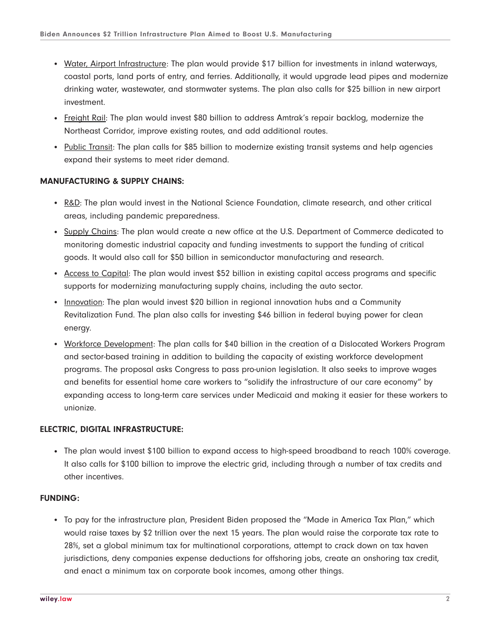- Water, Airport Infrastructure: The plan would provide \$17 billion for investments in inland waterways, coastal ports, land ports of entry, and ferries. Additionally, it would upgrade lead pipes and modernize drinking water, wastewater, and stormwater systems. The plan also calls for \$25 billion in new airport investment.
- Freight Rail: The plan would invest \$80 billion to address Amtrak's repair backlog, modernize the Northeast Corridor, improve existing routes, and add additional routes.
- Public Transit: The plan calls for \$85 billion to modernize existing transit systems and help agencies expand their systems to meet rider demand.

# **MANUFACTURING & SUPPLY CHAINS:**

- R&D: The plan would invest in the National Science Foundation, climate research, and other critical areas, including pandemic preparedness.
- Supply Chains: The plan would create a new office at the U.S. Department of Commerce dedicated to monitoring domestic industrial capacity and funding investments to support the funding of critical goods. It would also call for \$50 billion in semiconductor manufacturing and research.
- Access to Capital: The plan would invest \$52 billion in existing capital access programs and specific supports for modernizing manufacturing supply chains, including the auto sector.
- Innovation: The plan would invest \$20 billion in regional innovation hubs and a Community Revitalization Fund. The plan also calls for investing \$46 billion in federal buying power for clean energy.
- Workforce Development: The plan calls for \$40 billion in the creation of a Dislocated Workers Program and sector-based training in addition to building the capacity of existing workforce development programs. The proposal asks Congress to pass pro-union legislation. It also seeks to improve wages and benefits for essential home care workers to "solidify the infrastructure of our care economy" by expanding access to long-term care services under Medicaid and making it easier for these workers to unionize.

# **ELECTRIC, DIGITAL INFRASTRUCTURE:**

● The plan would invest \$100 billion to expand access to high-speed broadband to reach 100% coverage. It also calls for \$100 billion to improve the electric grid, including through a number of tax credits and other incentives.

# **FUNDING:**

• To pay for the infrastructure plan, President Biden proposed the "Made in America Tax Plan," which would raise taxes by \$2 trillion over the next 15 years. The plan would raise the corporate tax rate to 28%, set a global minimum tax for multinational corporations, attempt to crack down on tax haven jurisdictions, deny companies expense deductions for offshoring jobs, create an onshoring tax credit, and enact a minimum tax on corporate book incomes, among other things.